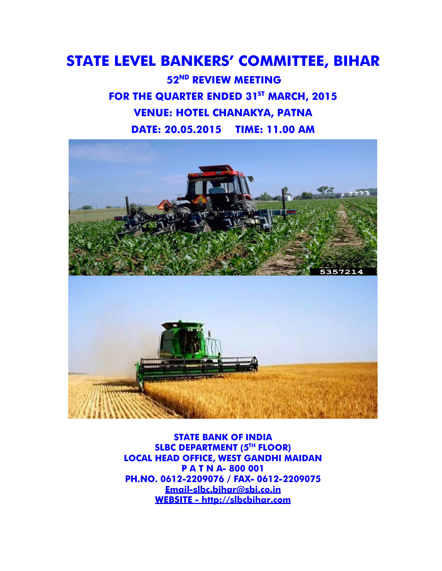# **STATE LEVEL BANKERS' COMMITTEE, BIHAR**

52<sup>ND</sup> REVIEW MEETING FOR THE QUARTER ENDED 31<sup>ST</sup> MARCH, 2015 **VENUE: HOTEL CHANAKYA, PATNA** DATE: 20.05.2015 TIME: 11.00 AM



**STATE BANK OF INDIA SLBC DEPARTMENT (5TH FLOOR) LOCAL HEAD OFFICE, WEST GANDHI MAIDAN PATNA-800001** PH.NO. 0612-2209076 / FAX- 0612-2209075 Email-slbc.bihar@sbi.co.in **WEBSITE - http://slbcbihar.com**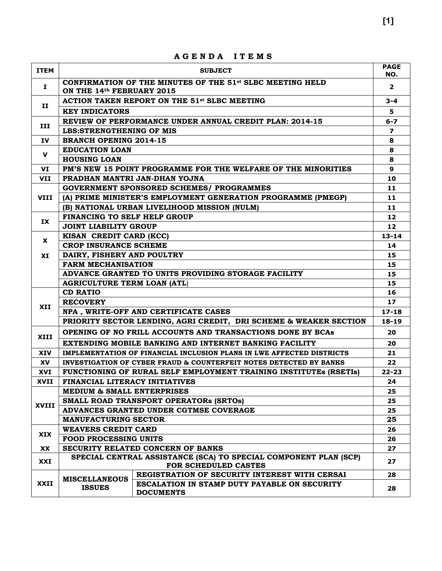| <b>ITEM</b> |                                                                                                | <b>SUBJECT</b>                                                          | <b>PAGE</b><br>NO. |  |  |  |
|-------------|------------------------------------------------------------------------------------------------|-------------------------------------------------------------------------|--------------------|--|--|--|
| Ι.          | ON THE 14th FEBRUARY 2015                                                                      | CONFIRMATION OF THE MINUTES OF THE 51 <sup>st</sup> SLBC MEETING HELD   | $\mathbf{2}$       |  |  |  |
|             |                                                                                                | <b>ACTION TAKEN REPORT ON THE 51st SLBC MEETING</b>                     | 3-4                |  |  |  |
| 11          | <b>KEY INDICATORS</b>                                                                          |                                                                         | 5                  |  |  |  |
|             |                                                                                                | REVIEW OF PERFORMANCE UNDER ANNUAL CREDIT PLAN: 2014-15                 | $6 - 7$            |  |  |  |
| III         | <b>LBS:STRENGTHENING OF MIS</b>                                                                |                                                                         | $\overline{ }$     |  |  |  |
| IV          | <b>BRANCH OPENING 2014-15</b>                                                                  |                                                                         | 8                  |  |  |  |
|             | <b>EDUCATION LOAN</b>                                                                          |                                                                         | 8                  |  |  |  |
| V           | <b>HOUSING LOAN</b>                                                                            |                                                                         | 8                  |  |  |  |
| VI          | PM'S NEW 15 POINT PROGRAMME FOR THE WELFARE OF THE MINORITIES                                  |                                                                         |                    |  |  |  |
| <b>VII</b>  |                                                                                                | PRADHAN MANTRI JAN-DHAN YOJNA                                           | 10                 |  |  |  |
|             | <b>GOVERNMENT SPONSORED SCHEMES/ PROGRAMMES</b>                                                |                                                                         |                    |  |  |  |
| <b>VIII</b> | (A) PRIME MINISTER'S EMPLOYMENT GENERATION PROGRAMME (PMEGP)                                   |                                                                         |                    |  |  |  |
|             |                                                                                                | (B) NATIONAL URBAN LIVELIHOOD MISSION (NULM)                            | 11                 |  |  |  |
|             | FINANCING TO SELF HELP GROUP                                                                   |                                                                         | 12                 |  |  |  |
| IX          | <b>JOINT LIABILITY GROUP</b>                                                                   |                                                                         | 12                 |  |  |  |
|             | KISAN CREDIT CARD (KCC)                                                                        |                                                                         | $13 - 14$          |  |  |  |
| X           | <b>CROP INSURANCE SCHEME</b>                                                                   |                                                                         | 14                 |  |  |  |
| XI          | DAIRY, FISHERY AND POULTRY                                                                     |                                                                         |                    |  |  |  |
|             | <b>FARM MECHANISATION</b>                                                                      |                                                                         |                    |  |  |  |
|             | ADVANCE GRANTED TO UNITS PROVIDING STORAGE FACILITY                                            |                                                                         |                    |  |  |  |
|             | <b>AGRICULTURE TERM LOAN (ATL)</b>                                                             |                                                                         |                    |  |  |  |
|             | <b>CD RATIO</b>                                                                                |                                                                         |                    |  |  |  |
| XII         | <b>RECOVERY</b>                                                                                |                                                                         |                    |  |  |  |
|             |                                                                                                | NPA, WRITE-OFF AND CERTIFICATE CASES                                    | $17 - 18$          |  |  |  |
|             | PRIORITY SECTOR LENDING, AGRI CREDIT, DRI SCHEME & WEAKER SECTION<br>$18 - 19$                 |                                                                         |                    |  |  |  |
| XIII        |                                                                                                | OPENING OF NO FRILL ACCOUNTS AND TRANSACTIONS DONE BY BCAs              | 20                 |  |  |  |
|             |                                                                                                | EXTENDING MOBILE BANKING AND INTERNET BANKING FACILITY                  | 20                 |  |  |  |
| <b>XIV</b>  |                                                                                                | IMPLEMENTATION OF FINANCIAL INCLUSION PLANS IN LWE AFFECTED DISTRICTS   | 21                 |  |  |  |
| <b>XV</b>   |                                                                                                | INVESTIGATION OF CYBER FRAUD & COUNTERFEIT NOTES DETECTED BY BANKS      | 22                 |  |  |  |
| <b>XVI</b>  | FUNCTIONING OF RURAL SELF EMPLOYMENT TRAINING INSTITUTES (RSETIS)                              |                                                                         |                    |  |  |  |
| XVII        | FINANCIAL LITERACY INITIATIVES                                                                 |                                                                         |                    |  |  |  |
|             | <b>MEDIUM &amp; SMALL ENTERPRISES</b>                                                          |                                                                         |                    |  |  |  |
| XVIII       | SMALL ROAD TRANSPORT OPERATORS (SRTOS)                                                         |                                                                         |                    |  |  |  |
|             | ADVANCES GRANTED UNDER CGTMSE COVERAGE                                                         |                                                                         |                    |  |  |  |
|             | <b>MANUFACTURING SECTOR</b>                                                                    |                                                                         |                    |  |  |  |
| <b>XIX</b>  | <b>WEAVERS CREDIT CARD</b>                                                                     |                                                                         |                    |  |  |  |
|             | <b>FOOD PROCESSING UNITS</b>                                                                   |                                                                         |                    |  |  |  |
| XX          | SECURITY RELATED CONCERN OF BANKS                                                              |                                                                         |                    |  |  |  |
| XXI         | SPECIAL CENTRAL ASSISTANCE (SCA) TO SPECIAL COMPONENT PLAN (SCP)<br>27<br>FOR SCHEDULED CASTES |                                                                         |                    |  |  |  |
|             |                                                                                                | REGISTRATION OF SECURITY INTEREST WITH CERSAI                           | 28                 |  |  |  |
| XXII        | <b>MISCELLANEOUS</b><br><b>ISSUES</b>                                                          | <b>ESCALATION IN STAMP DUTY PAYABLE ON SECURITY</b><br><b>DOCUMENTS</b> | 28                 |  |  |  |

**A G E N D A I T E M S**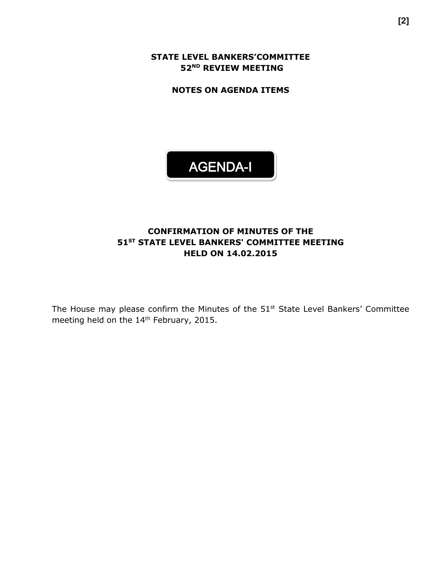**STATE LEVEL BANKERS'COMMITTEE 52 ND REVIEW MEETING**

**NOTES ON AGENDA ITEMS**



## **CONFIRMATION OF MINUTES OF THE 51 ST STATE LEVEL BANKERS' COMMITTEE MEETING HELD ON 14.02.2015**

The House may please confirm the Minutes of the 51<sup>st</sup> State Level Bankers' Committee meeting held on the 14<sup>th</sup> February, 2015.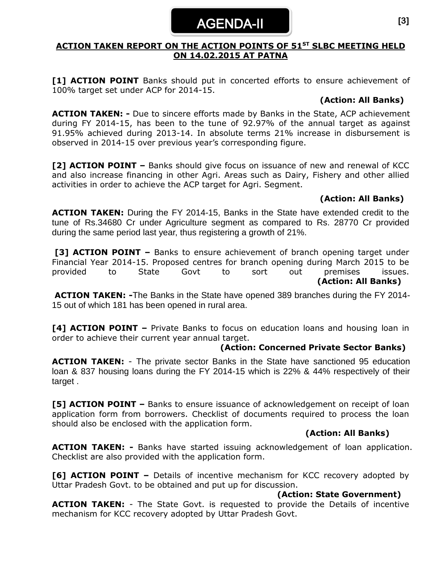## **ACTION TAKEN REPORT ON THE ACTION POINTS OF 51ST SLBC MEETING HELD ON 14.02.2015 AT PATNA**

[1] **ACTION POINT** Banks should put in concerted efforts to ensure achievement of 100% target set under ACP for 2014-15.

## **(Action: All Banks)**

**ACTION TAKEN: -** Due to sincere efforts made by Banks in the State, ACP achievement during FY 2014-15, has been to the tune of 92.97% of the annual target as against 91.95% achieved during 2013-14. In absolute terms 21% increase in disbursement is observed in 2014-15 over previous year's corresponding figure.

**[2] ACTION POINT –** Banks should give focus on issuance of new and renewal of KCC and also increase financing in other Agri. Areas such as Dairy, Fishery and other allied activities in order to achieve the ACP target for Agri. Segment.

## **(Action: All Banks)**

**ACTION TAKEN:** During the FY 2014-15, Banks in the State have extended credit to the tune of Rs.34680 Cr under Agriculture segment as compared to Rs. 28770 Cr provided during the same period last year, thus registering a growth of 21%.

**[3] ACTION POINT –** Banks to ensure achievement of branch opening target under Financial Year 2014-15. Proposed centres for branch opening during March 2015 to be provided to State Govt to sort out premises issues. **(Action: All Banks)**

**ACTION TAKEN: -**The Banks in the State have opened 389 branches during the FY 2014- 15 out of which 181 has been opened in rural area.

**[4] ACTION POINT** – Private Banks to focus on education loans and housing loan in order to achieve their current year annual target.

## **(Action: Concerned Private Sector Banks)**

**ACTION TAKEN:** - The private sector Banks in the State have sanctioned 95 education loan & 837 housing loans during the FY 2014-15 which is 22% & 44% respectively of their target .

**[5] ACTION POINT –** Banks to ensure issuance of acknowledgement on receipt of loan application form from borrowers. Checklist of documents required to process the loan should also be enclosed with the application form.

## **(Action: All Banks)**

**ACTION TAKEN: -** Banks have started issuing acknowledgement of loan application. Checklist are also provided with the application form.

**[6] ACTION POINT –** Details of incentive mechanism for KCC recovery adopted by Uttar Pradesh Govt. to be obtained and put up for discussion.

## **(Action: State Government)**

**ACTION TAKEN:** - The State Govt. is requested to provide the Details of incentive mechanism for KCC recovery adopted by Uttar Pradesh Govt.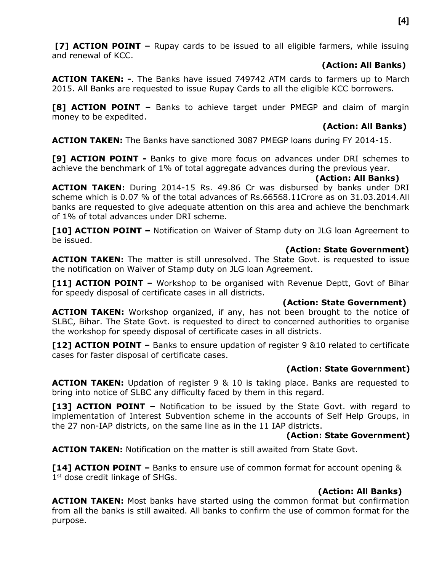**[7] ACTION POINT –** Rupay cards to be issued to all eligible farmers, while issuing and renewal of KCC.

## **(Action: All Banks)**

**ACTION TAKEN: -**. The Banks have issued 749742 ATM cards to farmers up to March 2015. All Banks are requested to issue Rupay Cards to all the eligible KCC borrowers.

**[8] ACTION POINT –** Banks to achieve target under PMEGP and claim of margin money to be expedited.

## **(Action: All Banks)**

**ACTION TAKEN:** The Banks have sanctioned 3087 PMEGP loans during FY 2014-15.

**[9] ACTION POINT -** Banks to give more focus on advances under DRI schemes to achieve the benchmark of 1% of total aggregate advances during the previous year.

#### **(Action: All Banks)**

**ACTION TAKEN:** During 2014-15 Rs. 49.86 Cr was disbursed by banks under DRI scheme which is 0.07 % of the total advances of Rs.66568.11Crore as on 31.03.2014.All banks are requested to give adequate attention on this area and achieve the benchmark of 1% of total advances under DRI scheme.

**[10] ACTION POINT –** Notification on Waiver of Stamp duty on JLG loan Agreement to be issued.

#### **(Action: State Government)**

**ACTION TAKEN:** The matter is still unresolved. The State Govt. is requested to issue the notification on Waiver of Stamp duty on JLG loan Agreement.

**[11] ACTION POINT –** Workshop to be organised with Revenue Deptt, Govt of Bihar for speedy disposal of certificate cases in all districts.

#### **(Action: State Government)**

**ACTION TAKEN:** Workshop organized, if any, has not been brought to the notice of SLBC, Bihar. The State Govt. is requested to direct to concerned authorities to organise the workshop for speedy disposal of certificate cases in all districts.

**[12] ACTION POINT –** Banks to ensure updation of register 9 &10 related to certificate cases for faster disposal of certificate cases.

## **(Action: State Government)**

**ACTION TAKEN:** Updation of register 9 & 10 is taking place. Banks are requested to bring into notice of SLBC any difficulty faced by them in this regard.

**[13] ACTION POINT –** Notification to be issued by the State Govt. with regard to implementation of Interest Subvention scheme in the accounts of Self Help Groups, in the 27 non-IAP districts, on the same line as in the 11 IAP districts.

#### **(Action: State Government)**

**ACTION TAKEN:** Notification on the matter is still awaited from State Govt.

**[14] ACTION POINT –** Banks to ensure use of common format for account opening & 1<sup>st</sup> dose credit linkage of SHGs.

## **(Action: All Banks)**

**ACTION TAKEN:** Most banks have started using the common format but confirmation from all the banks is still awaited. All banks to confirm the use of common format for the purpose.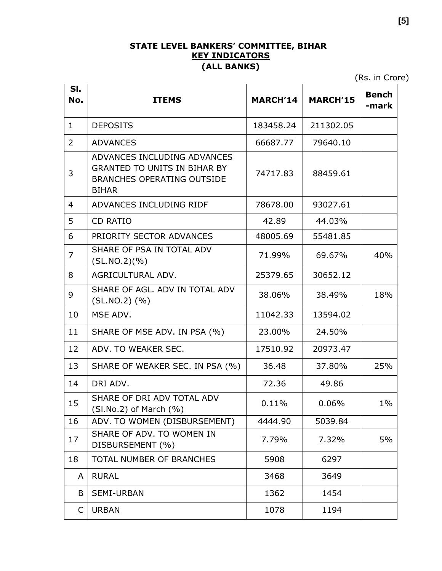## **STATE LEVEL BANKERS' COMMITTEE, BIHAR KEY INDICATORS (ALL BANKS)**

(Rs. in Crore)

| SI.<br>No.   | <b>ITEMS</b>                                                                                                            | <b>MARCH'14</b> | <b>MARCH'15</b> | <b>Bench</b><br>-mark |
|--------------|-------------------------------------------------------------------------------------------------------------------------|-----------------|-----------------|-----------------------|
| $\mathbf{1}$ | <b>DEPOSITS</b>                                                                                                         | 183458.24       | 211302.05       |                       |
| 2            | <b>ADVANCES</b>                                                                                                         | 66687.77        | 79640.10        |                       |
| 3            | ADVANCES INCLUDING ADVANCES<br><b>GRANTED TO UNITS IN BIHAR BY</b><br><b>BRANCHES OPERATING OUTSIDE</b><br><b>BIHAR</b> | 74717.83        | 88459.61        |                       |
| 4            | ADVANCES INCLUDING RIDF                                                                                                 | 78678.00        | 93027.61        |                       |
| 5            | <b>CD RATIO</b>                                                                                                         | 42.89           | 44.03%          |                       |
| 6            | PRIORITY SECTOR ADVANCES                                                                                                | 48005.69        | 55481.85        |                       |
| 7            | SHARE OF PSA IN TOTAL ADV<br>(SLNO.2)(%)                                                                                | 71.99%          | 69.67%          | 40%                   |
| 8            | AGRICULTURAL ADV.                                                                                                       | 25379.65        | 30652.12        |                       |
| 9            | SHARE OF AGL. ADV IN TOTAL ADV<br>$(SLNO.2)$ $(\% )$                                                                    | 38.06%          | 38.49%          | 18%                   |
| 10           | MSE ADV.                                                                                                                | 11042.33        | 13594.02        |                       |
| 11           | SHARE OF MSE ADV. IN PSA (%)                                                                                            | 23.00%          | 24.50%          |                       |
| 12           | ADV. TO WEAKER SEC.                                                                                                     | 17510.92        | 20973.47        |                       |
| 13           | SHARE OF WEAKER SEC. IN PSA (%)                                                                                         | 36.48           | 37.80%          | 25%                   |
| 14           | DRI ADV.                                                                                                                | 72.36           | 49.86           |                       |
| 15           | SHARE OF DRI ADV TOTAL ADV<br>$(SI.No.2)$ of March $(\% )$                                                              | 0.11%           | 0.06%           | $1\%$                 |
| 16           | ADV. TO WOMEN (DISBURSEMENT)                                                                                            | 4444.90         | 5039.84         |                       |
| 17           | SHARE OF ADV. TO WOMEN IN<br>DISBURSEMENT (%)                                                                           | 7.79%           | 7.32%           | 5%                    |
| 18           | TOTAL NUMBER OF BRANCHES                                                                                                | 5908            | 6297            |                       |
| A            | <b>RURAL</b>                                                                                                            | 3468            | 3649            |                       |
| B            | <b>SEMI-URBAN</b>                                                                                                       | 1362            | 1454            |                       |
| C            | <b>URBAN</b>                                                                                                            | 1078            | 1194            |                       |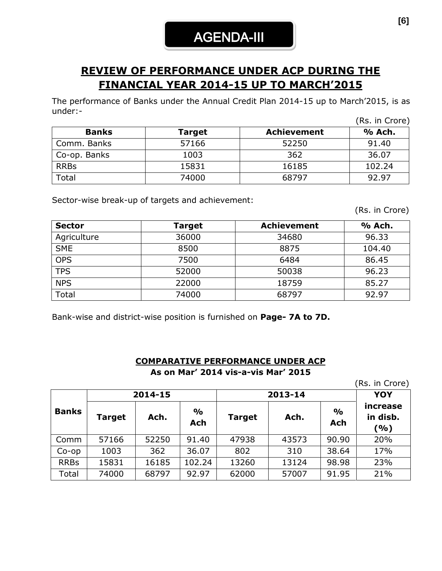# **REVIEW OF PERFORMANCE UNDER ACP DURING THE FINANCIAL YEAR 2014-15 UP TO MARCH'2015**

The performance of Banks under the Annual Credit Plan 2014-15 up to March'2015, is as under:- (Rs. in Crore)

|              |        |                    | (KS. III Crore) |
|--------------|--------|--------------------|-----------------|
| <b>Banks</b> | Target | <b>Achievement</b> | % Ach.          |
| Comm. Banks  | 57166  | 52250              | 91.40           |
| Co-op. Banks | 1003   | 362                | 36.07           |
| <b>RRBs</b>  | 15831  | 16185              | 102.24          |
| Total        | 74000  | 68797              | 92.97           |

Sector-wise break-up of targets and achievement:

(Rs. in Crore)

| <b>Sector</b> | Target | <b>Achievement</b> | % Ach. |
|---------------|--------|--------------------|--------|
| Agriculture   | 36000  | 34680              | 96.33  |
| <b>SME</b>    | 8500   | 8875               | 104.40 |
| <b>OPS</b>    | 7500   | 6484               | 86.45  |
| <b>TPS</b>    | 52000  | 50038              | 96.23  |
| <b>NPS</b>    | 22000  | 18759              | 85.27  |
| Total         | 74000  | 68797              | 92.97  |

Bank-wise and district-wise position is furnished on **Page- 7A to 7D.**

## **COMPARATIVE PERFORMANCE UNDER ACP As on Mar' 2014 vis-a-vis Mar' 2015**

(Rs. in Crore)

|              |        | 2014-15 |                             |               | 2013-14 |                             |                               |  |
|--------------|--------|---------|-----------------------------|---------------|---------|-----------------------------|-------------------------------|--|
| <b>Banks</b> | Target | Ach.    | $\frac{1}{2}$<br><b>Ach</b> | <b>Target</b> | Ach.    | $\frac{0}{0}$<br><b>Ach</b> | increase<br>in disb.<br>(9/0) |  |
| Comm         | 57166  | 52250   | 91.40                       | 47938         | 43573   | 90.90                       | 20%                           |  |
| $Co$ -op     | 1003   | 362     | 36.07                       | 802           | 310     | 38.64                       | 17%                           |  |
| <b>RRBs</b>  | 15831  | 16185   | 102.24                      | 13260         | 13124   | 98.98                       | 23%                           |  |
| Total        | 74000  | 68797   | 92.97                       | 62000         | 57007   | 91.95                       | 21%                           |  |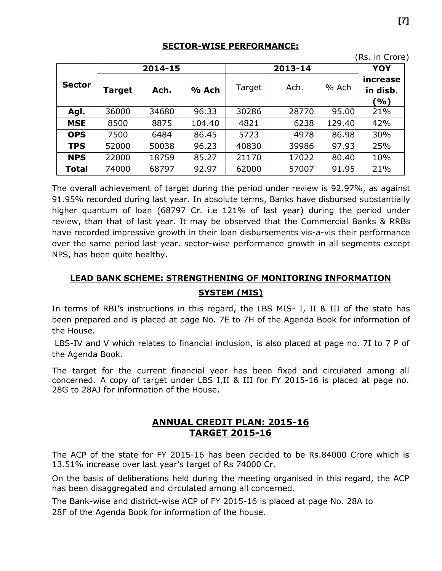|--|

|               |               |         |        |        |         |        | (Rs. in Crore)              |
|---------------|---------------|---------|--------|--------|---------|--------|-----------------------------|
|               |               | 2014-15 |        |        | 2013-14 |        | <b>YOY</b>                  |
| <b>Sector</b> | <b>Target</b> | Ach.    | % Ach  | Target | Ach.    | % Ach  | increase<br>in disb.<br>(%) |
| Agl.          | 36000         | 34680   | 96.33  | 30286  | 28770   | 95.00  | 21%                         |
| <b>MSE</b>    | 8500          | 8875    | 104.40 | 4821   | 6238    | 129.40 | 42%                         |
| <b>OPS</b>    | 7500          | 6484    | 86.45  | 5723   | 4978    | 86.98  | 30%                         |
| <b>TPS</b>    | 52000         | 50038   | 96.23  | 40830  | 39986   | 97.93  | 25%                         |
| <b>NPS</b>    | 22000         | 18759   | 85.27  | 21170  | 17022   | 80.40  | 10%                         |
| <b>Total</b>  | 74000         | 68797   | 92.97  | 62000  | 57007   | 91.95  | 21%                         |

The overall achievement of target during the period under review is 92.97%, as against 91.95% recorded during last year. In absolute terms, Banks have disbursed substantially higher quantum of loan (68797 Cr. i.e 121% of last year) during the period under review, than that of last year. It may be observed that the Commercial Banks & RRBs have recorded impressive growth in their loan disbursements vis-a-vis their performance over the same period last year. sector-wise performance growth in all segments except NPS, has been quite healthy.

## **LEAD BANK SCHEME: STRENGTHENING OF MONITORING INFORMATION SYSTEM (MIS)**

In terms of RBI's instructions in this regard, the LBS MIS- I, II & III of the state has been prepared and is placed at page No. 7E to 7H of the Agenda Book for information of the House.

LBS-IV and V which relates to financial inclusion, is also placed at page no. 7I to 7 P of the Agenda Book.

The target for the current financial year has been fixed and circulated among all concerned. A copy of target under LBS I,II & III for FY 2015-16 is placed at page no. 28G to 28AJ for information of the House.

## **ANNUAL CREDIT PLAN: 2015-16 TARGET 2015-16**

The ACP of the state for FY 2015-16 has been decided to be Rs.84000 Crore which is 13.51% increase over last year's target of Rs 74000 Cr.

On the basis of deliberations held during the meeting organised in this regard, the ACP has been disaggregated and circulated among all concerned.

The Bank-wise and district-wise ACP of FY 2015-16 is placed at page No. 28A to 28F of the Agenda Book for information of the house.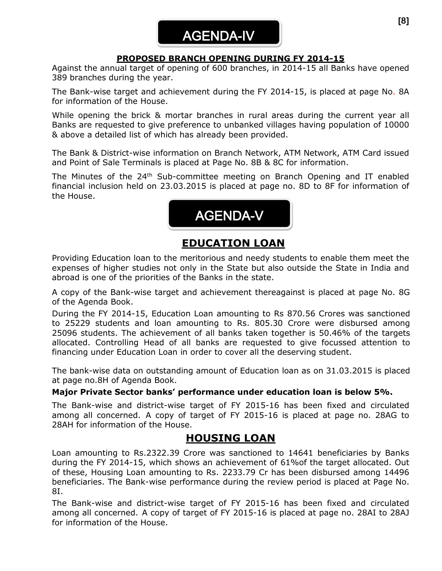# AGENDA-IV

## **PROPOSED BRANCH OPENING DURING FY 2014-15**

Against the annual target of opening of 600 branches, in 2014-15 all Banks have opened 389 branches during the year.

The Bank-wise target and achievement during the FY 2014-15, is placed at page No. 8A for information of the House.

While opening the brick & mortar branches in rural areas during the current year all Banks are requested to give preference to unbanked villages having population of 10000 & above a detailed list of which has already been provided.

The Bank & District-wise information on Branch Network, ATM Network, ATM Card issued and Point of Sale Terminals is placed at Page No. 8B & 8C for information.

The Minutes of the 24<sup>th</sup> Sub-committee meeting on Branch Opening and IT enabled financial inclusion held on 23.03.2015 is placed at page no. 8D to 8F for information of the House.



Providing Education loan to the meritorious and needy students to enable them meet the expenses of higher studies not only in the State but also outside the State in India and abroad is one of the priorities of the Banks in the state.

A copy of the Bank-wise target and achievement thereagainst is placed at page No. 8G of the Agenda Book.

During the FY 2014-15, Education Loan amounting to Rs 870.56 Crores was sanctioned to 25229 students and loan amounting to Rs. 805.30 Crore were disbursed among 25096 students. The achievement of all banks taken together is 50.46% of the targets allocated. Controlling Head of all banks are requested to give focussed attention to financing under Education Loan in order to cover all the deserving student.

The bank-wise data on outstanding amount of Education loan as on 31.03.2015 is placed at page no.8H of Agenda Book.

## **Major Private Sector banks' performance under education loan is below 5%.**

The Bank-wise and district-wise target of FY 2015-16 has been fixed and circulated among all concerned. A copy of target of FY 2015-16 is placed at page no. 28AG to 28AH for information of the House.

## **HOUSING LOAN**

Loan amounting to Rs.2322.39 Crore was sanctioned to 14641 beneficiaries by Banks during the FY 2014-15, which shows an achievement of 61%of the target allocated. Out of these, Housing Loan amounting to Rs. 2233.79 Cr has been disbursed among 14496 beneficiaries. The Bank-wise performance during the review period is placed at Page No. 8I.

The Bank-wise and district-wise target of FY 2015-16 has been fixed and circulated among all concerned. A copy of target of FY 2015-16 is placed at page no. 28AI to 28AJ for information of the House.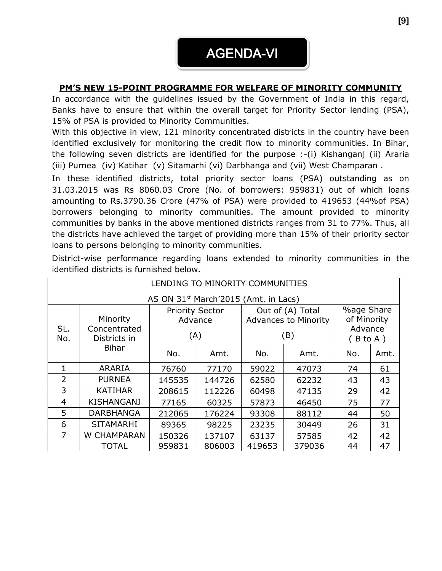## **PM'S NEW 15-POINT PROGRAMME FOR WELFARE OF MINORITY COMMUNITY**

In accordance with the guidelines issued by the Government of India in this regard, Banks have to ensure that within the overall target for Priority Sector lending (PSA), 15% of PSA is provided to Minority Communities.

With this objective in view, 121 minority concentrated districts in the country have been identified exclusively for monitoring the credit flow to minority communities. In Bihar, the following seven districts are identified for the purpose :-(i) Kishanganj (ii) Araria (iii) Purnea (iv) Katihar (v) Sitamarhi (vi) Darbhanga and (vii) West Champaran .

In these identified districts, total priority sector loans (PSA) outstanding as on 31.03.2015 was Rs 8060.03 Crore (No. of borrowers: 959831) out of which loans amounting to Rs.3790.36 Crore (47% of PSA) were provided to 419653 (44%of PSA) borrowers belonging to minority communities. The amount provided to minority communities by banks in the above mentioned districts ranges from 31 to 77%. Thus, all the districts have achieved the target of providing more than 15% of their priority sector loans to persons belonging to minority communities.

| LENDING TO MINORITY COMMUNITIES            |                                                     |                                   |        |                                                 |        |                                  |      |  |  |
|--------------------------------------------|-----------------------------------------------------|-----------------------------------|--------|-------------------------------------------------|--------|----------------------------------|------|--|--|
|                                            | AS ON 31 <sup>st</sup> March'2015<br>(Amt. in Lacs) |                                   |        |                                                 |        |                                  |      |  |  |
|                                            | Minority                                            | <b>Priority Sector</b><br>Advance |        | Out of (A) Total<br><b>Advances to Minority</b> |        | <b>%age Share</b><br>of Minority |      |  |  |
| Concentrated<br>SL.<br>No.<br>Districts in |                                                     | (A)                               |        | (B)                                             |        | Advance<br>B to A)               |      |  |  |
|                                            | <b>Bihar</b>                                        | No.                               | Amt.   | No.                                             | Amt.   | No.                              | Amt. |  |  |
| 1                                          | <b>ARARIA</b>                                       | 76760                             | 77170  | 59022                                           | 47073  | 74                               | 61   |  |  |
| $\overline{2}$                             | <b>PURNEA</b>                                       | 145535                            | 144726 | 62580                                           | 62232  | 43                               | 43   |  |  |
| 3                                          | <b>KATIHAR</b>                                      | 208615                            | 112226 | 60498                                           | 47135  | 29                               | 42   |  |  |
| 4                                          | <b>KISHANGANJ</b>                                   | 77165                             | 60325  | 57873                                           | 46450  | 75                               | 77   |  |  |
| 5                                          | <b>DARBHANGA</b>                                    | 212065                            | 176224 | 93308                                           | 88112  | 44                               | 50   |  |  |
| 6                                          | <b>SITAMARHI</b>                                    | 89365                             | 98225  | 23235                                           | 30449  | 26                               | 31   |  |  |
| $\overline{7}$                             | W CHAMPARAN                                         | 150326                            | 137107 | 63137                                           | 57585  | 42                               | 42   |  |  |
|                                            | <b>TOTAL</b>                                        | 959831                            | 806003 | 419653                                          | 379036 | 44                               | 47   |  |  |

District-wise performance regarding loans extended to minority communities in the identified districts is furnished below**.**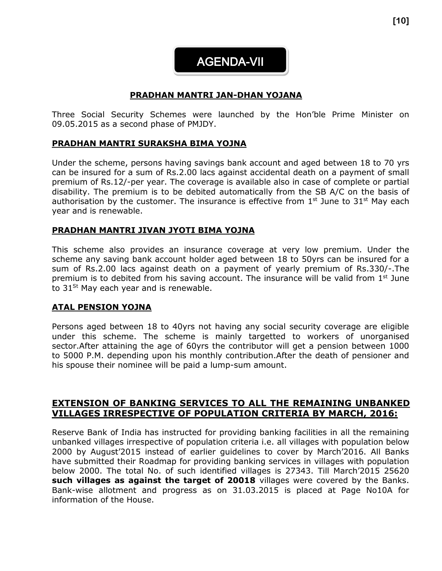AGENDA-VII

## **PRADHAN MANTRI JAN-DHAN YOJANA**

Three Social Security Schemes were launched by the Hon'ble Prime Minister on 09.05.2015 as a second phase of PMJDY.

#### **PRADHAN MANTRI SURAKSHA BIMA YOJNA**

Under the scheme, persons having savings bank account and aged between 18 to 70 yrs can be insured for a sum of Rs.2.00 lacs against accidental death on a payment of small premium of Rs.12/-per year. The coverage is available also in case of complete or partial disability. The premium is to be debited automatically from the SB A/C on the basis of authorisation by the customer. The insurance is effective from  $1<sup>st</sup>$  June to  $31<sup>st</sup>$  May each year and is renewable.

## **PRADHAN MANTRI JIVAN JYOTI BIMA YOJNA**

This scheme also provides an insurance coverage at very low premium. Under the scheme any saving bank account holder aged between 18 to 50yrs can be insured for a sum of Rs.2.00 lacs against death on a payment of yearly premium of Rs.330/-.The premium is to debited from his saving account. The insurance will be valid from  $1<sup>st</sup>$  June to  $31^{St}$  May each year and is renewable.

## **ATAL PENSION YOJNA**

Persons aged between 18 to 40yrs not having any social security coverage are eligible under this scheme. The scheme is mainly targetted to workers of unorganised sector.After attaining the age of 60yrs the contributor will get a pension between 1000 to 5000 P.M. depending upon his monthly contribution.After the death of pensioner and his spouse their nominee will be paid a lump-sum amount.

## **EXTENSION OF BANKING SERVICES TO ALL THE REMAINING UNBANKED VILLAGES IRRESPECTIVE OF POPULATION CRITERIA BY MARCH, 2016:**

Reserve Bank of India has instructed for providing banking facilities in all the remaining unbanked villages irrespective of population criteria i.e. all villages with population below 2000 by August'2015 instead of earlier guidelines to cover by March'2016. All Banks have submitted their Roadmap for providing banking services in villages with population below 2000. The total No. of such identified villages is 27343. Till March'2015 25620 **such villages as against the target of 20018** villages were covered by the Banks. Bank-wise allotment and progress as on 31.03.2015 is placed at Page No10A for information of the House.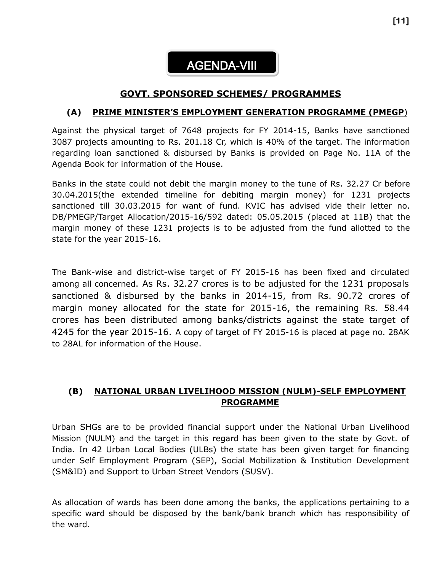# AGENDA-VIII

## **GOVT. SPONSORED SCHEMES/ PROGRAMMES**

## **(A) PRIME MINISTER'S EMPLOYMENT GENERATION PROGRAMME (PMEGP**)

Against the physical target of 7648 projects for FY 2014-15, Banks have sanctioned 3087 projects amounting to Rs. 201.18 Cr, which is 40% of the target. The information regarding loan sanctioned & disbursed by Banks is provided on Page No. 11A of the Agenda Book for information of the House.

Banks in the state could not debit the margin money to the tune of Rs. 32.27 Cr before 30.04.2015(the extended timeline for debiting margin money) for 1231 projects sanctioned till 30.03.2015 for want of fund. KVIC has advised vide their letter no. DB/PMEGP/Target Allocation/2015-16/592 dated: 05.05.2015 (placed at 11B) that the margin money of these 1231 projects is to be adjusted from the fund allotted to the state for the year 2015-16.

The Bank-wise and district-wise target of FY 2015-16 has been fixed and circulated among all concerned. As Rs. 32.27 crores is to be adjusted for the 1231 proposals sanctioned & disbursed by the banks in 2014-15, from Rs. 90.72 crores of margin money allocated for the state for 2015-16, the remaining Rs. 58.44 crores has been distributed among banks/districts against the state target of 4245 for the year 2015-16. A copy of target of FY 2015-16 is placed at page no. 28AK to 28AL for information of the House.

## **(B) NATIONAL URBAN LIVELIHOOD MISSION (NULM)-SELF EMPLOYMENT PROGRAMME**

Urban SHGs are to be provided financial support under the National Urban Livelihood Mission (NULM) and the target in this regard has been given to the state by Govt. of India. In 42 Urban Local Bodies (ULBs) the state has been given target for financing under Self Employment Program (SEP), Social Mobilization & Institution Development (SM&ID) and Support to Urban Street Vendors (SUSV).

As allocation of wards has been done among the banks, the applications pertaining to a specific ward should be disposed by the bank/bank branch which has responsibility of the ward.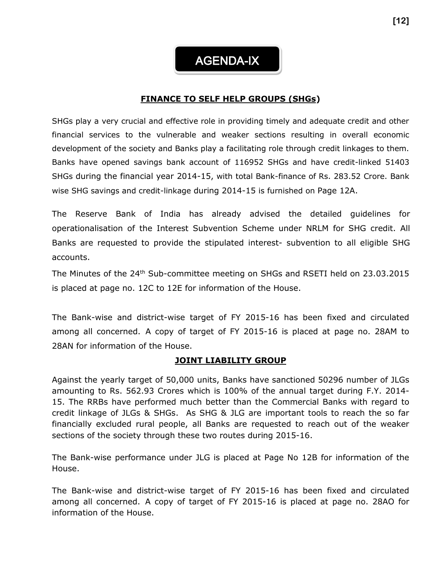AGENDA-IX

## **FINANCE TO SELF HELP GROUPS (SHGs)**

SHGs play a very crucial and effective role in providing timely and adequate credit and other financial services to the vulnerable and weaker sections resulting in overall economic development of the society and Banks play a facilitating role through credit linkages to them. Banks have opened savings bank account of 116952 SHGs and have credit-linked 51403 SHGs during the financial year 2014-15, with total Bank-finance of Rs. 283.52 Crore. Bank wise SHG savings and credit-linkage during 2014-15 is furnished on Page 12A.

The Reserve Bank of India has already advised the detailed guidelines for operationalisation of the Interest Subvention Scheme under NRLM for SHG credit. All Banks are requested to provide the stipulated interest- subvention to all eligible SHG accounts.

The Minutes of the 24<sup>th</sup> Sub-committee meeting on SHGs and RSETI held on 23.03.2015 is placed at page no. 12C to 12E for information of the House.

The Bank-wise and district-wise target of FY 2015-16 has been fixed and circulated among all concerned. A copy of target of FY 2015-16 is placed at page no. 28AM to 28AN for information of the House.

## **JOINT LIABILITY GROUP**

Against the yearly target of 50,000 units, Banks have sanctioned 50296 number of JLGs amounting to Rs. 562.93 Crores which is 100% of the annual target during F.Y. 2014- 15. The RRBs have performed much better than the Commercial Banks with regard to credit linkage of JLGs & SHGs. As SHG & JLG are important tools to reach the so far financially excluded rural people, all Banks are requested to reach out of the weaker sections of the society through these two routes during 2015-16.

The Bank-wise performance under JLG is placed at Page No 12B for information of the House.

The Bank-wise and district-wise target of FY 2015-16 has been fixed and circulated among all concerned. A copy of target of FY 2015-16 is placed at page no. 28AO for information of the House.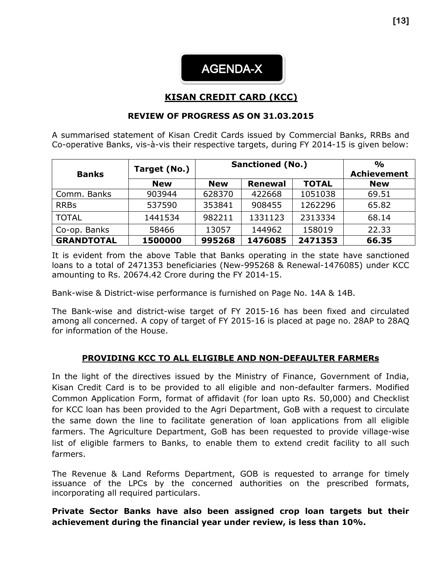# AGENDA-X

## **KISAN CREDIT CARD (KCC)**

#### **REVIEW OF PROGRESS AS ON 31.03.2015**

A summarised statement of Kisan Credit Cards issued by Commercial Banks, RRBs and Co-operative Banks, vis-à-vis their respective targets, during FY 2014-15 is given below:

|                   | Target (No.) |            | <b>Sanctioned (No.)</b> |                    | $\frac{O}{D}$ |
|-------------------|--------------|------------|-------------------------|--------------------|---------------|
| <b>Banks</b>      |              |            |                         | <b>Achievement</b> |               |
|                   | <b>New</b>   | <b>New</b> | <b>Renewal</b>          | <b>TOTAL</b>       | <b>New</b>    |
| Comm. Banks       | 903944       | 628370     | 422668                  | 1051038            | 69.51         |
| <b>RRBs</b>       | 537590       | 353841     | 908455                  | 1262296            | 65.82         |
| <b>TOTAL</b>      | 1441534      | 982211     | 1331123                 | 2313334            | 68.14         |
| Co-op. Banks      | 58466        | 13057      | 144962                  | 158019             | 22.33         |
| <b>GRANDTOTAL</b> | 1500000      | 995268     | 1476085                 | 2471353            | 66.35         |

It is evident from the above Table that Banks operating in the state have sanctioned loans to a total of 2471353 beneficiaries (New-995268 & Renewal-1476085) under KCC amounting to Rs. 20674.42 Crore during the FY 2014-15.

Bank-wise & District-wise performance is furnished on Page No. 14A & 14B.

The Bank-wise and district-wise target of FY 2015-16 has been fixed and circulated among all concerned. A copy of target of FY 2015-16 is placed at page no. 28AP to 28AQ for information of the House.

## **PROVIDING KCC TO ALL ELIGIBLE AND NON-DEFAULTER FARMERs**

In the light of the directives issued by the Ministry of Finance, Government of India, Kisan Credit Card is to be provided to all eligible and non-defaulter farmers. Modified Common Application Form, format of affidavit (for loan upto Rs. 50,000) and Checklist for KCC loan has been provided to the Agri Department, GoB with a request to circulate the same down the line to facilitate generation of loan applications from all eligible farmers. The Agriculture Department, GoB has been requested to provide village-wise list of eligible farmers to Banks, to enable them to extend credit facility to all such farmers.

The Revenue & Land Reforms Department, GOB is requested to arrange for timely issuance of the LPCs by the concerned authorities on the prescribed formats, incorporating all required particulars.

## **Private Sector Banks have also been assigned crop loan targets but their achievement during the financial year under review, is less than 10%.**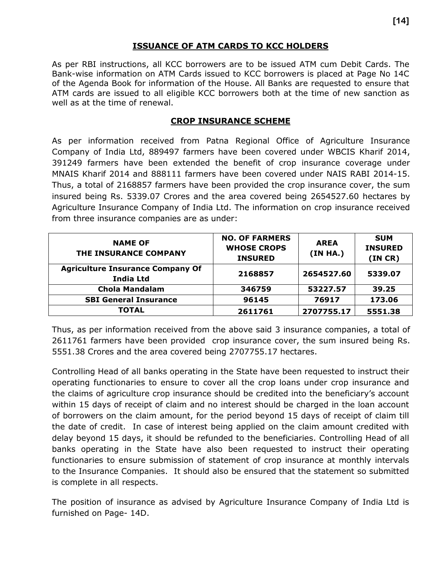## **ISSUANCE OF ATM CARDS TO KCC HOLDERS**

As per RBI instructions, all KCC borrowers are to be issued ATM cum Debit Cards. The Bank-wise information on ATM Cards issued to KCC borrowers is placed at Page No 14C of the Agenda Book for information of the House. All Banks are requested to ensure that ATM cards are issued to all eligible KCC borrowers both at the time of new sanction as well as at the time of renewal.

## **CROP INSURANCE SCHEME**

As per information received from Patna Regional Office of Agriculture Insurance Company of India Ltd, 889497 farmers have been covered under WBCIS Kharif 2014, 391249 farmers have been extended the benefit of crop insurance coverage under MNAIS Kharif 2014 and 888111 farmers have been covered under NAIS RABI 2014-15. Thus, a total of 2168857 farmers have been provided the crop insurance cover, the sum insured being Rs. 5339.07 Crores and the area covered being 2654527.60 hectares by Agriculture Insurance Company of India Ltd. The information on crop insurance received from three insurance companies are as under:

| <b>NAME OF</b><br>THE INSURANCE COMPANY                     | <b>NO. OF FARMERS</b><br><b>WHOSE CROPS</b><br><b>INSURED</b> | <b>AREA</b><br>(IN HA.) | <b>SUM</b><br><b>INSURED</b><br>(INCR) |
|-------------------------------------------------------------|---------------------------------------------------------------|-------------------------|----------------------------------------|
| <b>Agriculture Insurance Company Of</b><br><b>India Ltd</b> | 2168857                                                       | 2654527.60              | 5339.07                                |
| <b>Chola Mandalam</b>                                       | 346759                                                        | 53227.57                | 39.25                                  |
| <b>SBI General Insurance</b>                                | 96145                                                         | 76917                   | 173.06                                 |
| <b>TOTAL</b>                                                | 2611761                                                       | 2707755.17              | 5551.38                                |

Thus, as per information received from the above said 3 insurance companies, a total of 2611761 farmers have been provided crop insurance cover, the sum insured being Rs. 5551.38 Crores and the area covered being 2707755.17 hectares.

Controlling Head of all banks operating in the State have been requested to instruct their operating functionaries to ensure to cover all the crop loans under crop insurance and the claims of agriculture crop insurance should be credited into the beneficiary's account within 15 days of receipt of claim and no interest should be charged in the loan account of borrowers on the claim amount, for the period beyond 15 days of receipt of claim till the date of credit. In case of interest being applied on the claim amount credited with delay beyond 15 days, it should be refunded to the beneficiaries. Controlling Head of all banks operating in the State have also been requested to instruct their operating functionaries to ensure submission of statement of crop insurance at monthly intervals to the Insurance Companies. It should also be ensured that the statement so submitted is complete in all respects.

The position of insurance as advised by Agriculture Insurance Company of India Ltd is furnished on Page- 14D.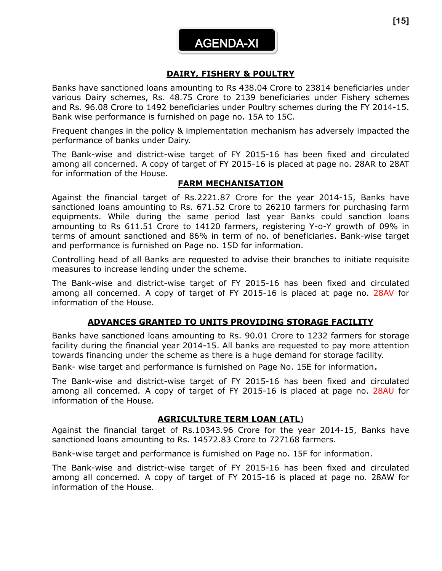# AGENDA-XI

## **DAIRY, FISHERY & POULTRY**

Banks have sanctioned loans amounting to Rs 438.04 Crore to 23814 beneficiaries under various Dairy schemes, Rs. 48.75 Crore to 2139 beneficiaries under Fishery schemes and Rs. 96.08 Crore to 1492 beneficiaries under Poultry schemes during the FY 2014-15. Bank wise performance is furnished on page no. 15A to 15C.

Frequent changes in the policy & implementation mechanism has adversely impacted the performance of banks under Dairy.

The Bank-wise and district-wise target of FY 2015-16 has been fixed and circulated among all concerned. A copy of target of FY 2015-16 is placed at page no. 28AR to 28AT for information of the House.

## **FARM MECHANISATION**

Against the financial target of Rs.2221.87 Crore for the year 2014-15, Banks have sanctioned loans amounting to Rs. 671.52 Crore to 26210 farmers for purchasing farm equipments. While during the same period last year Banks could sanction loans amounting to Rs 611.51 Crore to 14120 farmers, registering Y-o-Y growth of 09% in terms of amount sanctioned and 86% in term of no. of beneficiaries. Bank-wise target and performance is furnished on Page no. 15D for information.

Controlling head of all Banks are requested to advise their branches to initiate requisite measures to increase lending under the scheme.

The Bank-wise and district-wise target of FY 2015-16 has been fixed and circulated among all concerned. A copy of target of FY 2015-16 is placed at page no. 28AV for information of the House.

## **ADVANCES GRANTED TO UNITS PROVIDING STORAGE FACILITY**

Banks have sanctioned loans amounting to Rs. 90.01 Crore to 1232 farmers for storage facility during the financial year 2014-15. All banks are requested to pay more attention towards financing under the scheme as there is a huge demand for storage facility.

Bank- wise target and performance is furnished on Page No. 15E for information.

The Bank-wise and district-wise target of FY 2015-16 has been fixed and circulated among all concerned. A copy of target of FY 2015-16 is placed at page no. 28AU for information of the House.

## **AGRICULTURE TERM LOAN (ATL**)

Against the financial target of Rs.10343.96 Crore for the year 2014-15, Banks have sanctioned loans amounting to Rs. 14572.83 Crore to 727168 farmers.

Bank-wise target and performance is furnished on Page no. 15F for information.

The Bank-wise and district-wise target of FY 2015-16 has been fixed and circulated among all concerned. A copy of target of FY 2015-16 is placed at page no. 28AW for information of the House.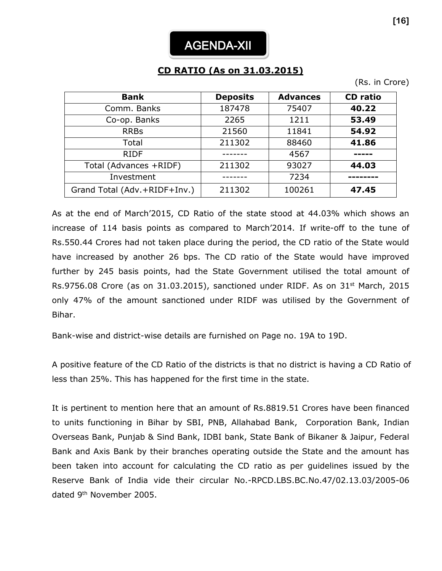# **CD RATIO (As on 31.03.2015)**

(Rs. in Crore)

| <b>Bank</b>                  | <b>Deposits</b> | <b>Advances</b> | <b>CD</b> ratio |
|------------------------------|-----------------|-----------------|-----------------|
| Comm. Banks                  | 187478          | 75407           | 40.22           |
| Co-op. Banks                 | 2265            | 1211            | 53.49           |
| <b>RRBs</b>                  | 21560           | 11841           | 54.92           |
| Total                        | 211302          | 88460           | 41.86           |
| <b>RIDF</b>                  |                 | 4567            |                 |
| Total (Advances +RIDF)       | 211302          | 93027           | 44.03           |
| Investment                   |                 | 7234            |                 |
| Grand Total (Adv.+RIDF+Inv.) | 211302          | 100261          | 47.45           |

As at the end of March'2015, CD Ratio of the state stood at 44.03% which shows an increase of 114 basis points as compared to March'2014. If write-off to the tune of Rs.550.44 Crores had not taken place during the period, the CD ratio of the State would have increased by another 26 bps. The CD ratio of the State would have improved further by 245 basis points, had the State Government utilised the total amount of Rs.9756.08 Crore (as on 31.03.2015), sanctioned under RIDF. As on  $31^{st}$  March, 2015 only 47% of the amount sanctioned under RIDF was utilised by the Government of Bihar.

Bank-wise and district-wise details are furnished on Page no. 19A to 19D.

A positive feature of the CD Ratio of the districts is that no district is having a CD Ratio of less than 25%. This has happened for the first time in the state.

It is pertinent to mention here that an amount of Rs.8819.51 Crores have been financed to units functioning in Bihar by SBI, PNB, Allahabad Bank, Corporation Bank, Indian Overseas Bank, Punjab & Sind Bank, IDBI bank, State Bank of Bikaner & Jaipur, Federal Bank and Axis Bank by their branches operating outside the State and the amount has been taken into account for calculating the CD ratio as per guidelines issued by the Reserve Bank of India vide their circular No.-RPCD.LBS.BC.No.47/02.13.03/2005-06 dated 9th November 2005.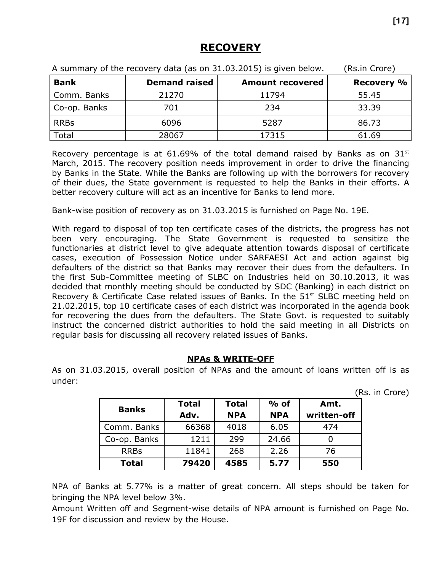## **RECOVERY**

| A summary of the recovery data (as on 31.03.2015) is given below. | (Rs.in Crore)        |                         |                   |
|-------------------------------------------------------------------|----------------------|-------------------------|-------------------|
| <b>Bank</b>                                                       | <b>Demand raised</b> | <b>Amount recovered</b> | <b>Recovery %</b> |
| Comm. Banks                                                       | 21270                | 11794                   | 55.45             |
| Co-op. Banks                                                      | 701                  | 234                     | 33.39             |
| <b>RRBs</b>                                                       | 6096                 | 5287                    | 86.73             |
| Total                                                             | 28067                | 17315                   | 61.69             |

Recovery percentage is at 61.69% of the total demand raised by Banks as on  $31^{st}$ March, 2015. The recovery position needs improvement in order to drive the financing by Banks in the State. While the Banks are following up with the borrowers for recovery of their dues, the State government is requested to help the Banks in their efforts. A better recovery culture will act as an incentive for Banks to lend more.

Bank-wise position of recovery as on 31.03.2015 is furnished on Page No. 19E.

With regard to disposal of top ten certificate cases of the districts, the progress has not been very encouraging. The State Government is requested to sensitize the functionaries at district level to give adequate attention towards disposal of certificate cases, execution of Possession Notice under SARFAESI Act and action against big defaulters of the district so that Banks may recover their dues from the defaulters. In the first Sub-Committee meeting of SLBC on Industries held on 30.10.2013, it was decided that monthly meeting should be conducted by SDC (Banking) in each district on Recovery & Certificate Case related issues of Banks. In the  $51<sup>st</sup>$  SLBC meeting held on 21.02.2015, top 10 certificate cases of each district was incorporated in the agenda book for recovering the dues from the defaulters. The State Govt. is requested to suitably instruct the concerned district authorities to hold the said meeting in all Districts on regular basis for discussing all recovery related issues of Banks.

## **NPAs & WRITE-OFF**

As on 31.03.2015, overall position of NPAs and the amount of loans written off is as under:

(Rs. in Crore)

| <b>Banks</b> | <b>Total</b><br>Adv. | <b>Total</b><br><b>NPA</b> | $%$ of<br><b>NPA</b> | Amt.<br>written-off |
|--------------|----------------------|----------------------------|----------------------|---------------------|
| Comm. Banks  | 66368                | 4018                       | 6.05                 | 474                 |
| Co-op. Banks | 1211                 | 299                        | 24.66                |                     |
| <b>RRBs</b>  | 11841                | 268                        | 2.26                 | 76                  |
| <b>Total</b> | 79420                | 4585                       | 5.77                 | 550                 |

NPA of Banks at 5.77% is a matter of great concern. All steps should be taken for bringing the NPA level below 3%.

Amount Written off and Segment-wise details of NPA amount is furnished on Page No. 19F for discussion and review by the House.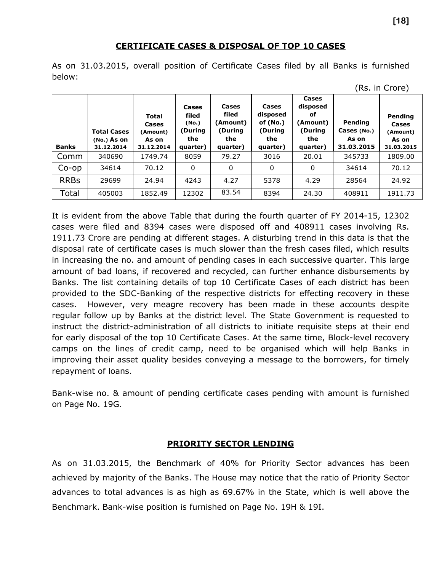## **CERTIFICATE CASES & DISPOSAL OF TOP 10 CASES**

As on 31.03.2015, overall position of Certificate Cases filed by all Banks is furnished below:

| <b>Banks</b> | <b>Total Cases</b><br>$(No.)$ As on<br>31.12.2014 | <b>Total</b><br><b>Cases</b><br>(Amount)<br>As on<br>31.12.2014 | Cases<br>filed<br>(No.)<br>(During<br>the<br>quarter) | Cases<br>filed<br>(Amount)<br>(During<br>the<br>quarter) | Cases<br>disposed<br>of $(No.)$<br>(During<br>the<br>quarter) | Cases<br>disposed<br>оf<br>(Amount)<br>(During<br>the<br>quarter) | <b>Pending</b><br>Cases (No.)<br>As on<br>31.03.2015 | Pending<br>Cases<br>(Amount)<br>As on<br>31.03.2015 |
|--------------|---------------------------------------------------|-----------------------------------------------------------------|-------------------------------------------------------|----------------------------------------------------------|---------------------------------------------------------------|-------------------------------------------------------------------|------------------------------------------------------|-----------------------------------------------------|
| Comm         | 340690                                            | 1749.74                                                         | 8059                                                  | 79.27                                                    | 3016                                                          | 20.01                                                             | 345733                                               | 1809.00                                             |
| $Co$ -op     | 34614                                             | 70.12                                                           | 0                                                     | 0                                                        | 0                                                             | 0                                                                 | 34614                                                | 70.12                                               |
| <b>RRBs</b>  | 29699                                             | 24.94                                                           | 4243                                                  | 4.27                                                     | 5378                                                          | 4.29                                                              | 28564                                                | 24.92                                               |
| Total        | 405003                                            | 1852.49                                                         | 12302                                                 | 83.54                                                    | 8394                                                          | 24.30                                                             | 408911                                               | 1911.73                                             |

It is evident from the above Table that during the fourth quarter of FY 2014-15, 12302 cases were filed and 8394 cases were disposed off and 408911 cases involving Rs. 1911.73 Crore are pending at different stages. A disturbing trend in this data is that the disposal rate of certificate cases is much slower than the fresh cases filed, which results in increasing the no. and amount of pending cases in each successive quarter. This large amount of bad loans, if recovered and recycled, can further enhance disbursements by Banks. The list containing details of top 10 Certificate Cases of each district has been provided to the SDC-Banking of the respective districts for effecting recovery in these cases. However, very meagre recovery has been made in these accounts despite regular follow up by Banks at the district level. The State Government is requested to instruct the district-administration of all districts to initiate requisite steps at their end for early disposal of the top 10 Certificate Cases. At the same time, Block-level recovery camps on the lines of credit camp, need to be organised which will help Banks in improving their asset quality besides conveying a message to the borrowers, for timely repayment of loans.

Bank-wise no. & amount of pending certificate cases pending with amount is furnished on Page No. 19G.

## **PRIORITY SECTOR LENDING**

As on 31.03.2015, the Benchmark of 40% for Priority Sector advances has been achieved by majority of the Banks. The House may notice that the ratio of Priority Sector advances to total advances is as high as 69.67% in the State, which is well above the Benchmark. Bank-wise position is furnished on Page No. 19H & 19I.

(Rs. in Crore)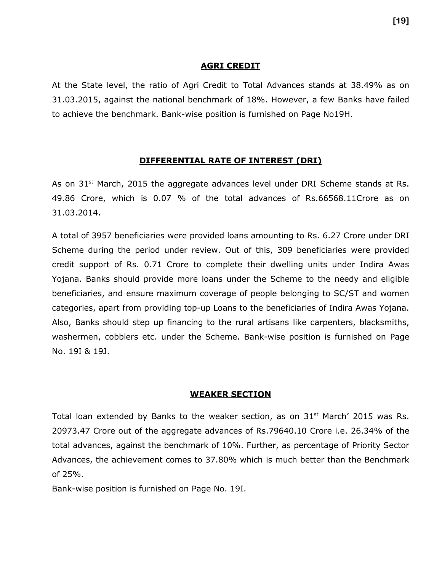#### **AGRI CREDIT**

At the State level, the ratio of Agri Credit to Total Advances stands at 38.49% as on 31.03.2015, against the national benchmark of 18%. However, a few Banks have failed to achieve the benchmark. Bank-wise position is furnished on Page No19H.

#### **DIFFERENTIAL RATE OF INTEREST (DRI)**

As on 31<sup>st</sup> March, 2015 the aggregate advances level under DRI Scheme stands at Rs. 49.86 Crore, which is 0.07 % of the total advances of Rs.66568.11Crore as on 31.03.2014.

A total of 3957 beneficiaries were provided loans amounting to Rs. 6.27 Crore under DRI Scheme during the period under review. Out of this, 309 beneficiaries were provided credit support of Rs. 0.71 Crore to complete their dwelling units under Indira Awas Yojana. Banks should provide more loans under the Scheme to the needy and eligible beneficiaries, and ensure maximum coverage of people belonging to SC/ST and women categories, apart from providing top-up Loans to the beneficiaries of Indira Awas Yojana. Also, Banks should step up financing to the rural artisans like carpenters, blacksmiths, washermen, cobblers etc. under the Scheme. Bank-wise position is furnished on Page No. 19I & 19J.

#### **WEAKER SECTION**

Total loan extended by Banks to the weaker section, as on  $31<sup>st</sup>$  March' 2015 was Rs. 20973.47 Crore out of the aggregate advances of Rs.79640.10 Crore i.e. 26.34% of the total advances, against the benchmark of 10%. Further, as percentage of Priority Sector Advances, the achievement comes to 37.80% which is much better than the Benchmark of 25%.

Bank-wise position is furnished on Page No. 19I.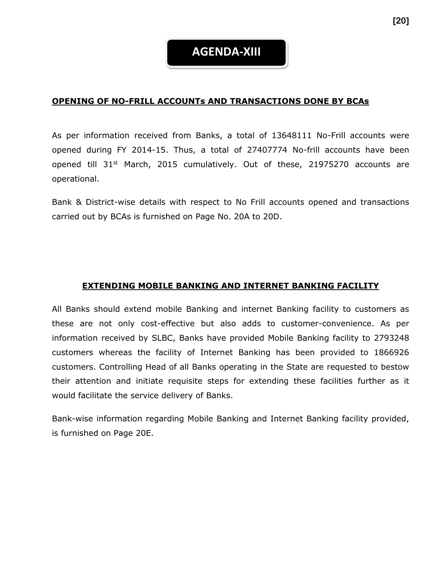# **AGENDA-XIII**

#### **OPENING OF NO-FRILL ACCOUNTs AND TRANSACTIONS DONE BY BCAs**

As per information received from Banks, a total of 13648111 No-Frill accounts were opened during FY 2014-15. Thus, a total of 27407774 No-frill accounts have been opened till 31<sup>st</sup> March, 2015 cumulatively. Out of these, 21975270 accounts are operational.

Bank & District-wise details with respect to No Frill accounts opened and transactions carried out by BCAs is furnished on Page No. 20A to 20D.

## **EXTENDING MOBILE BANKING AND INTERNET BANKING FACILITY**

All Banks should extend mobile Banking and internet Banking facility to customers as these are not only cost-effective but also adds to customer-convenience. As per information received by SLBC, Banks have provided Mobile Banking facility to 2793248 customers whereas the facility of Internet Banking has been provided to 1866926 customers. Controlling Head of all Banks operating in the State are requested to bestow their attention and initiate requisite steps for extending these facilities further as it would facilitate the service delivery of Banks.

Bank-wise information regarding Mobile Banking and Internet Banking facility provided, is furnished on Page 20E.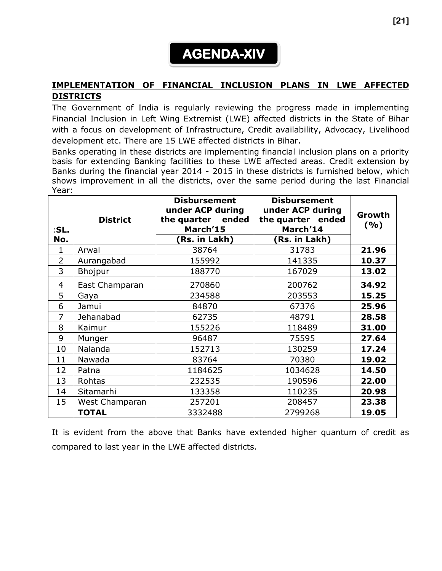# **AGENDA-XIV**

## **IMPLEMENTATION OF FINANCIAL INCLUSION PLANS IN LWE AFFECTED DISTRICTS**

The Government of India is regularly reviewing the progress made in implementing Financial Inclusion in Left Wing Extremist (LWE) affected districts in the State of Bihar with a focus on development of Infrastructure, Credit availability, Advocacy, Livelihood development etc. There are 15 LWE affected districts in Bihar.

Banks operating in these districts are implementing financial inclusion plans on a priority basis for extending Banking facilities to these LWE affected areas. Credit extension by Banks during the financial year 2014 - 2015 in these districts is furnished below, which shows improvement in all the districts, over the same period during the last Financial Year:

| :SL.<br>No.    | <b>District</b> | <b>Disbursement</b><br>under ACP during<br>the quarter ended<br>March'15<br>(Rs. in Lakh) | <b>Disbursement</b><br>under ACP during<br>the quarter ended<br>March'14<br>(Rs. in Lakh) | Growth<br>(%) |
|----------------|-----------------|-------------------------------------------------------------------------------------------|-------------------------------------------------------------------------------------------|---------------|
| 1              | Arwal           | 38764                                                                                     | 31783                                                                                     | 21.96         |
| $\overline{2}$ | Aurangabad      | 155992                                                                                    | 141335                                                                                    | 10.37         |
| 3              | Bhojpur         | 188770                                                                                    | 167029                                                                                    | 13.02         |
| $\overline{4}$ | East Champaran  | 270860                                                                                    | 200762                                                                                    | 34.92         |
| 5              | Gaya            | 234588                                                                                    | 203553                                                                                    | 15.25         |
| 6              | Jamui           | 84870                                                                                     | 67376                                                                                     | 25.96         |
| 7              | Jehanabad       | 62735                                                                                     | 48791                                                                                     | 28.58         |
| 8              | Kaimur          | 155226                                                                                    | 118489                                                                                    | 31.00         |
| 9              | Munger          | 96487                                                                                     | 75595                                                                                     | 27.64         |
| 10             | Nalanda         | 152713                                                                                    | 130259                                                                                    | 17.24         |
| 11             | Nawada          | 83764                                                                                     | 70380                                                                                     | 19.02         |
| 12             | Patna           | 1184625                                                                                   | 1034628                                                                                   | 14.50         |
| 13             | Rohtas          | 232535                                                                                    | 190596                                                                                    | 22.00         |
| 14             | Sitamarhi       | 133358                                                                                    | 110235                                                                                    | 20.98         |
| 15             | West Champaran  | 257201                                                                                    | 208457                                                                                    | 23.38         |
|                | <b>TOTAL</b>    | 3332488                                                                                   | 2799268                                                                                   | 19.05         |

It is evident from the above that Banks have extended higher quantum of credit as compared to last year in the LWE affected districts.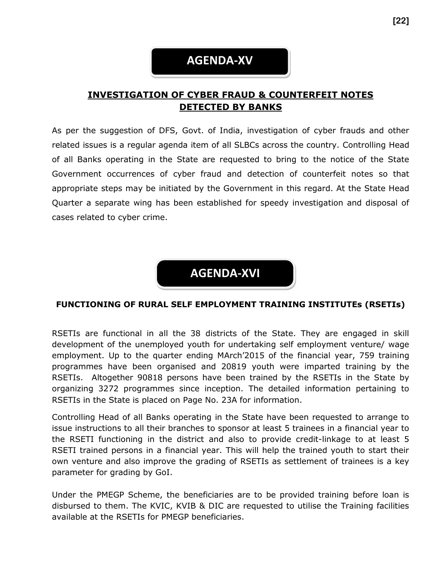## **AGENDA-XV**

## **INVESTIGATION OF CYBER FRAUD & COUNTERFEIT NOTES DETECTED BY BANKS**

As per the suggestion of DFS, Govt. of India, investigation of cyber frauds and other related issues is a regular agenda item of all SLBCs across the country. Controlling Head of all Banks operating in the State are requested to bring to the notice of the State Government occurrences of cyber fraud and detection of counterfeit notes so that appropriate steps may be initiated by the Government in this regard. At the State Head Quarter a separate wing has been established for speedy investigation and disposal of cases related to cyber crime.

**AGENDA-XVI**

#### **FUNCTIONING OF RURAL SELF EMPLOYMENT TRAINING INSTITUTEs (RSETIs)**

RSETIs are functional in all the 38 districts of the State. They are engaged in skill development of the unemployed youth for undertaking self employment venture/ wage employment. Up to the quarter ending MArch'2015 of the financial year, 759 training programmes have been organised and 20819 youth were imparted training by the RSETIs. Altogether 90818 persons have been trained by the RSETIs in the State by organizing 3272 programmes since inception. The detailed information pertaining to RSETIs in the State is placed on Page No. 23A for information.

Controlling Head of all Banks operating in the State have been requested to arrange to issue instructions to all their branches to sponsor at least 5 trainees in a financial year to the RSETI functioning in the district and also to provide credit-linkage to at least 5 RSETI trained persons in a financial year. This will help the trained youth to start their own venture and also improve the grading of RSETIs as settlement of trainees is a key parameter for grading by GoI.

Under the PMEGP Scheme, the beneficiaries are to be provided training before loan is disbursed to them. The KVIC, KVIB & DIC are requested to utilise the Training facilities available at the RSETIs for PMEGP beneficiaries.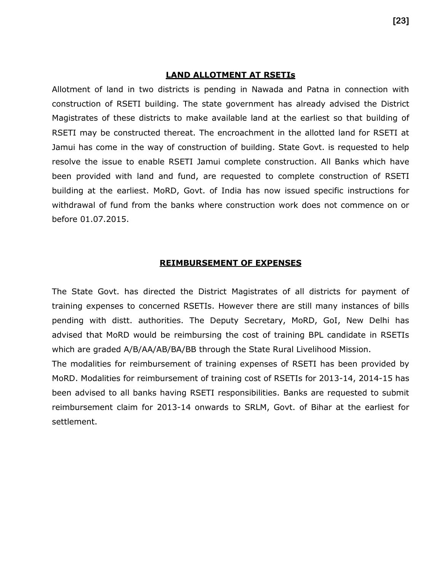#### **LAND ALLOTMENT AT RSETIs**

Allotment of land in two districts is pending in Nawada and Patna in connection with construction of RSETI building. The state government has already advised the District Magistrates of these districts to make available land at the earliest so that building of RSETI may be constructed thereat. The encroachment in the allotted land for RSETI at Jamui has come in the way of construction of building. State Govt. is requested to help resolve the issue to enable RSETI Jamui complete construction. All Banks which have been provided with land and fund, are requested to complete construction of RSETI building at the earliest. MoRD, Govt. of India has now issued specific instructions for withdrawal of fund from the banks where construction work does not commence on or before 01.07.2015.

#### **REIMBURSEMENT OF EXPENSES**

The State Govt. has directed the District Magistrates of all districts for payment of training expenses to concerned RSETIs. However there are still many instances of bills pending with distt. authorities. The Deputy Secretary, MoRD, GoI, New Delhi has advised that MoRD would be reimbursing the cost of training BPL candidate in RSETIs which are graded A/B/AA/AB/BA/BB through the State Rural Livelihood Mission.

The modalities for reimbursement of training expenses of RSETI has been provided by MoRD. Modalities for reimbursement of training cost of RSETIs for 2013-14, 2014-15 has been advised to all banks having RSETI responsibilities. Banks are requested to submit reimbursement claim for 2013-14 onwards to SRLM, Govt. of Bihar at the earliest for settlement.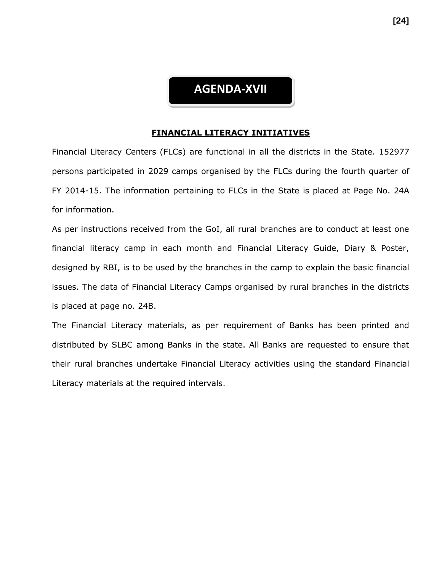# **AGENDA-XVII**

#### **FINANCIAL LITERACY INITIATIVES**

Financial Literacy Centers (FLCs) are functional in all the districts in the State. 152977 persons participated in 2029 camps organised by the FLCs during the fourth quarter of FY 2014-15. The information pertaining to FLCs in the State is placed at Page No. 24A for information.

As per instructions received from the GoI, all rural branches are to conduct at least one financial literacy camp in each month and Financial Literacy Guide, Diary & Poster, designed by RBI, is to be used by the branches in the camp to explain the basic financial issues. The data of Financial Literacy Camps organised by rural branches in the districts is placed at page no. 24B.

The Financial Literacy materials, as per requirement of Banks has been printed and distributed by SLBC among Banks in the state. All Banks are requested to ensure that their rural branches undertake Financial Literacy activities using the standard Financial Literacy materials at the required intervals.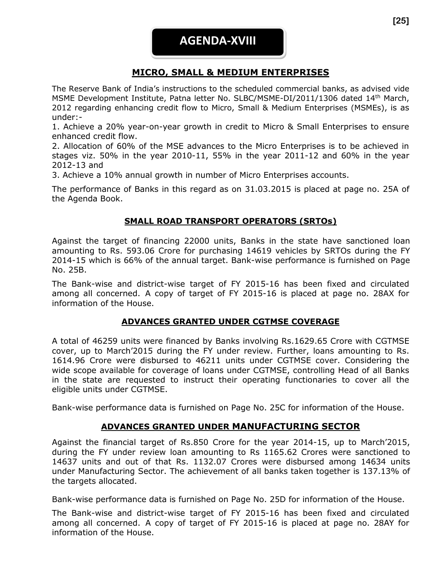## **MICRO, SMALL & MEDIUM ENTERPRISES**

The Reserve Bank of India's instructions to the scheduled commercial banks, as advised vide MSME Development Institute, Patna letter No. SLBC/MSME-DI/2011/1306 dated 14th March, 2012 regarding enhancing credit flow to Micro, Small & Medium Enterprises (MSMEs), is as under:-

1. Achieve a 20% year-on-year growth in credit to Micro & Small Enterprises to ensure enhanced credit flow.

2. Allocation of 60% of the MSE advances to the Micro Enterprises is to be achieved in stages viz. 50% in the year 2010-11, 55% in the year 2011-12 and 60% in the year 2012-13 and

3. Achieve a 10% annual growth in number of Micro Enterprises accounts.

The performance of Banks in this regard as on 31.03.2015 is placed at page no. 25A of the Agenda Book.

## **SMALL ROAD TRANSPORT OPERATORS (SRTOs)**

Against the target of financing 22000 units, Banks in the state have sanctioned loan amounting to Rs. 593.06 Crore for purchasing 14619 vehicles by SRTOs during the FY 2014-15 which is 66% of the annual target. Bank-wise performance is furnished on Page No. 25B.

The Bank-wise and district-wise target of FY 2015-16 has been fixed and circulated among all concerned. A copy of target of FY 2015-16 is placed at page no. 28AX for information of the House.

## **ADVANCES GRANTED UNDER CGTMSE COVERAGE**

A total of 46259 units were financed by Banks involving Rs.1629.65 Crore with CGTMSE cover, up to March'2015 during the FY under review. Further, loans amounting to Rs. 1614.96 Crore were disbursed to 46211 units under CGTMSE cover. Considering the wide scope available for coverage of loans under CGTMSE, controlling Head of all Banks in the state are requested to instruct their operating functionaries to cover all the eligible units under CGTMSE.

Bank-wise performance data is furnished on Page No. 25C for information of the House.

## **ADVANCES GRANTED UNDER MANUFACTURING SECTOR**

Against the financial target of Rs.850 Crore for the year 2014-15, up to March'2015, during the FY under review loan amounting to Rs 1165.62 Crores were sanctioned to 14637 units and out of that Rs. 1132.07 Crores were disbursed among 14634 units under Manufacturing Sector. The achievement of all banks taken together is 137.13% of the targets allocated.

Bank-wise performance data is furnished on Page No. 25D for information of the House.

The Bank-wise and district-wise target of FY 2015-16 has been fixed and circulated among all concerned. A copy of target of FY 2015-16 is placed at page no. 28AY for information of the House.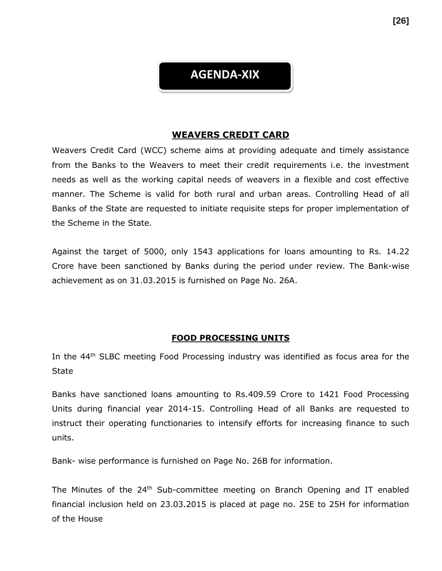# **AGENDA-XIX**

## **WEAVERS CREDIT CARD**

Weavers Credit Card (WCC) scheme aims at providing adequate and timely assistance from the Banks to the Weavers to meet their credit requirements i.e. the investment needs as well as the working capital needs of weavers in a flexible and cost effective manner. The Scheme is valid for both rural and urban areas. Controlling Head of all Banks of the State are requested to initiate requisite steps for proper implementation of the Scheme in the State.

Against the target of 5000, only 1543 applications for loans amounting to Rs. 14.22 Crore have been sanctioned by Banks during the period under review. The Bank-wise achievement as on 31.03.2015 is furnished on Page No. 26A.

## **FOOD PROCESSING UNITS**

In the 44<sup>th</sup> SLBC meeting Food Processing industry was identified as focus area for the **State** 

Banks have sanctioned loans amounting to Rs.409.59 Crore to 1421 Food Processing Units during financial year 2014-15. Controlling Head of all Banks are requested to instruct their operating functionaries to intensify efforts for increasing finance to such units.

Bank- wise performance is furnished on Page No. 26B for information.

The Minutes of the 24<sup>th</sup> Sub-committee meeting on Branch Opening and IT enabled financial inclusion held on 23.03.2015 is placed at page no. 25E to 25H for information of the House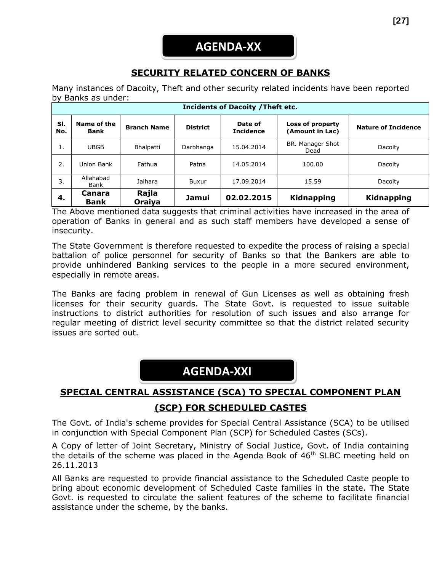## **SECURITY RELATED CONCERN OF BANKS**

Many instances of Dacoity, Theft and other security related incidents have been reported by Banks as under:

| <b>Incidents of Dacoity / Theft etc.</b> |                            |                    |                 |                             |                                     |                            |  |
|------------------------------------------|----------------------------|--------------------|-----------------|-----------------------------|-------------------------------------|----------------------------|--|
| SI.<br>No.                               | Name of the<br><b>Bank</b> | <b>Branch Name</b> | <b>District</b> | Date of<br><b>Incidence</b> | Loss of property<br>(Amount in Lac) | <b>Nature of Incidence</b> |  |
| 1.                                       | <b>UBGB</b>                | Bhalpatti          | Darbhanga       | 15.04.2014                  | BR. Manager Shot<br>Dead            | Dacoity                    |  |
| 2.                                       | Union Bank                 | Fathua             | Patna           | 14.05.2014                  | 100.00                              | Dacoity                    |  |
| 3.                                       | Allahabad<br>Bank          | Jalhara            | Buxur           | 17.09.2014                  | 15.59                               | Dacoity                    |  |
| 4.                                       | Canara<br><b>Bank</b>      | Rajla<br>Oraiya    | Jamui           | 02.02.2015                  | <b>Kidnapping</b>                   | Kidnapping                 |  |

The Above mentioned data suggests that criminal activities have increased in the area of operation of Banks in general and as such staff members have developed a sense of insecurity.

The State Government is therefore requested to expedite the process of raising a special battalion of police personnel for security of Banks so that the Bankers are able to provide unhindered Banking services to the people in a more secured environment, especially in remote areas.

The Banks are facing problem in renewal of Gun Licenses as well as obtaining fresh licenses for their security guards. The State Govt. is requested to issue suitable instructions to district authorities for resolution of such issues and also arrange for regular meeting of district level security committee so that the district related security issues are sorted out.

# **AGENDA-XXI**

# **SPECIAL CENTRAL ASSISTANCE (SCA) TO SPECIAL COMPONENT PLAN (SCP) FOR SCHEDULED CASTES**

The Govt. of India's scheme provides for Special Central Assistance (SCA) to be utilised in conjunction with Special Component Plan (SCP) for Scheduled Castes (SCs).

A Copy of letter of Joint Secretary, Ministry of Social Justice, Govt. of India containing the details of the scheme was placed in the Agenda Book of 46<sup>th</sup> SLBC meeting held on 26.11.2013

All Banks are requested to provide financial assistance to the Scheduled Caste people to bring about economic development of Scheduled Caste families in the state. The State Govt. is requested to circulate the salient features of the scheme to facilitate financial assistance under the scheme, by the banks.